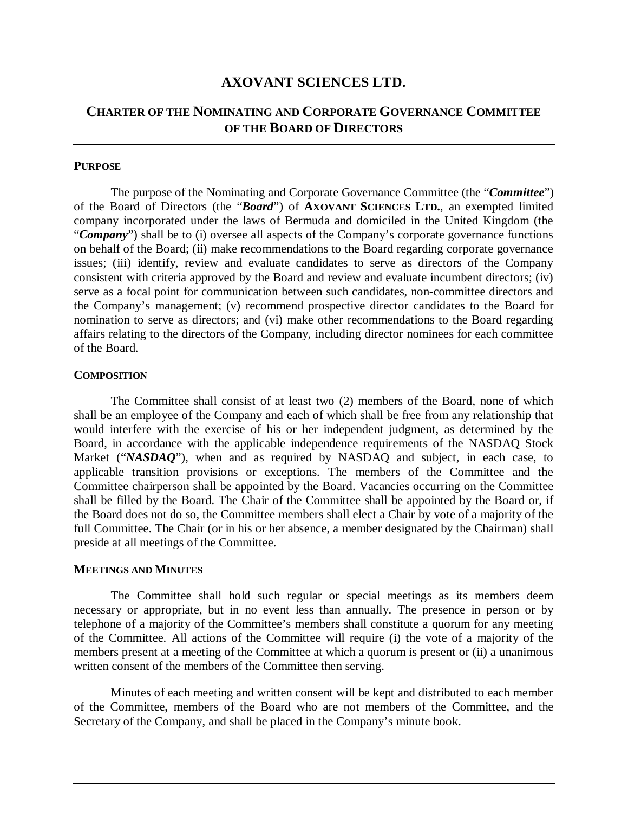# **AXOVANT SCIENCES LTD.**

# **CHARTER OF THE NOMINATING AND CORPORATE GOVERNANCE COMMITTEE OF THE BOARD OF DIRECTORS**

### **PURPOSE**

The purpose of the Nominating and Corporate Governance Committee (the "*Committee*") of the Board of Directors (the "*Board*") of **AXOVANT SCIENCES LTD.**, an exempted limited company incorporated under the laws of Bermuda and domiciled in the United Kingdom (the "*Company*") shall be to (i) oversee all aspects of the Company's corporate governance functions on behalf of the Board; (ii) make recommendations to the Board regarding corporate governance issues; (iii) identify, review and evaluate candidates to serve as directors of the Company consistent with criteria approved by the Board and review and evaluate incumbent directors; (iv) serve as a focal point for communication between such candidates, non-committee directors and the Company's management; (v) recommend prospective director candidates to the Board for nomination to serve as directors; and (vi) make other recommendations to the Board regarding affairs relating to the directors of the Company, including director nominees for each committee of the Board.

#### **COMPOSITION**

The Committee shall consist of at least two (2) members of the Board, none of which shall be an employee of the Company and each of which shall be free from any relationship that would interfere with the exercise of his or her independent judgment, as determined by the Board, in accordance with the applicable independence requirements of the NASDAQ Stock Market ("*NASDAQ*"), when and as required by NASDAQ and subject, in each case, to applicable transition provisions or exceptions. The members of the Committee and the Committee chairperson shall be appointed by the Board. Vacancies occurring on the Committee shall be filled by the Board. The Chair of the Committee shall be appointed by the Board or, if the Board does not do so, the Committee members shall elect a Chair by vote of a majority of the full Committee. The Chair (or in his or her absence, a member designated by the Chairman) shall preside at all meetings of the Committee.

#### **MEETINGS AND MINUTES**

 The Committee shall hold such regular or special meetings as its members deem necessary or appropriate, but in no event less than annually. The presence in person or by telephone of a majority of the Committee's members shall constitute a quorum for any meeting of the Committee. All actions of the Committee will require (i) the vote of a majority of the members present at a meeting of the Committee at which a quorum is present or (ii) a unanimous written consent of the members of the Committee then serving.

 Minutes of each meeting and written consent will be kept and distributed to each member of the Committee, members of the Board who are not members of the Committee, and the Secretary of the Company, and shall be placed in the Company's minute book.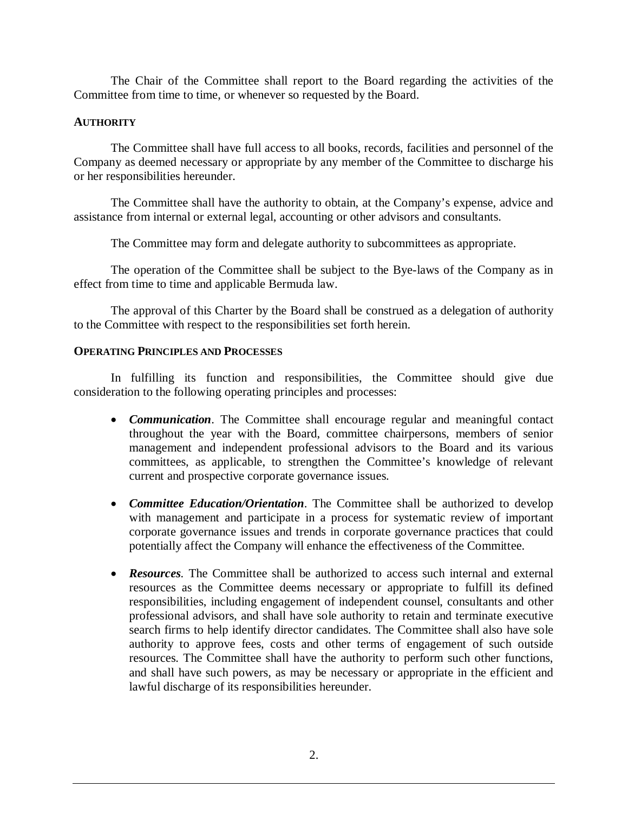The Chair of the Committee shall report to the Board regarding the activities of the Committee from time to time, or whenever so requested by the Board.

## **AUTHORITY**

The Committee shall have full access to all books, records, facilities and personnel of the Company as deemed necessary or appropriate by any member of the Committee to discharge his or her responsibilities hereunder.

The Committee shall have the authority to obtain, at the Company's expense, advice and assistance from internal or external legal, accounting or other advisors and consultants.

The Committee may form and delegate authority to subcommittees as appropriate.

The operation of the Committee shall be subject to the Bye-laws of the Company as in effect from time to time and applicable Bermuda law.

 The approval of this Charter by the Board shall be construed as a delegation of authority to the Committee with respect to the responsibilities set forth herein.

## **OPERATING PRINCIPLES AND PROCESSES**

In fulfilling its function and responsibilities, the Committee should give due consideration to the following operating principles and processes:

- � *Communication*. The Committee shall encourage regular and meaningful contact throughout the year with the Board, committee chairpersons, members of senior management and independent professional advisors to the Board and its various committees, as applicable, to strengthen the Committee's knowledge of relevant current and prospective corporate governance issues.
- � *Committee Education/Orientation*. The Committee shall be authorized to develop with management and participate in a process for systematic review of important corporate governance issues and trends in corporate governance practices that could potentially affect the Company will enhance the effectiveness of the Committee.
- � *Resources.* The Committee shall be authorized to access such internal and external resources as the Committee deems necessary or appropriate to fulfill its defined responsibilities, including engagement of independent counsel, consultants and other professional advisors, and shall have sole authority to retain and terminate executive search firms to help identify director candidates. The Committee shall also have sole authority to approve fees, costs and other terms of engagement of such outside resources. The Committee shall have the authority to perform such other functions, and shall have such powers, as may be necessary or appropriate in the efficient and lawful discharge of its responsibilities hereunder.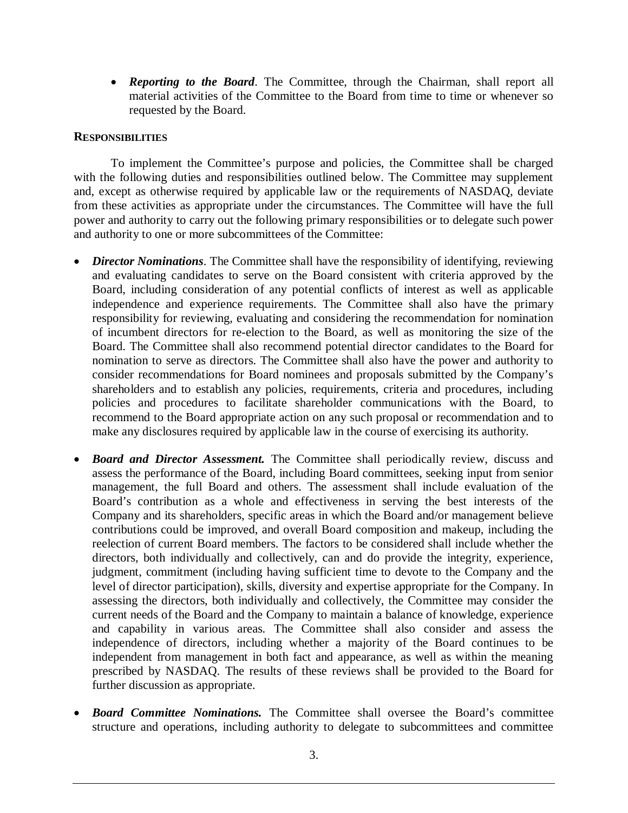� *Reporting to the Board*. The Committee, through the Chairman, shall report all material activities of the Committee to the Board from time to time or whenever so requested by the Board.

### **RESPONSIBILITIES**

To implement the Committee's purpose and policies, the Committee shall be charged with the following duties and responsibilities outlined below. The Committee may supplement and, except as otherwise required by applicable law or the requirements of NASDAQ, deviate from these activities as appropriate under the circumstances. The Committee will have the full power and authority to carry out the following primary responsibilities or to delegate such power and authority to one or more subcommittees of the Committee:

- � *Director Nominations*. The Committee shall have the responsibility of identifying, reviewing and evaluating candidates to serve on the Board consistent with criteria approved by the Board, including consideration of any potential conflicts of interest as well as applicable independence and experience requirements. The Committee shall also have the primary responsibility for reviewing, evaluating and considering the recommendation for nomination of incumbent directors for re-election to the Board, as well as monitoring the size of the Board. The Committee shall also recommend potential director candidates to the Board for nomination to serve as directors. The Committee shall also have the power and authority to consider recommendations for Board nominees and proposals submitted by the Company's shareholders and to establish any policies, requirements, criteria and procedures, including policies and procedures to facilitate shareholder communications with the Board, to recommend to the Board appropriate action on any such proposal or recommendation and to make any disclosures required by applicable law in the course of exercising its authority.
- **Board and Director Assessment.** The Committee shall periodically review, discuss and assess the performance of the Board, including Board committees, seeking input from senior management, the full Board and others. The assessment shall include evaluation of the Board's contribution as a whole and effectiveness in serving the best interests of the Company and its shareholders, specific areas in which the Board and/or management believe contributions could be improved, and overall Board composition and makeup, including the reelection of current Board members. The factors to be considered shall include whether the directors, both individually and collectively, can and do provide the integrity, experience, judgment, commitment (including having sufficient time to devote to the Company and the level of director participation), skills, diversity and expertise appropriate for the Company. In assessing the directors, both individually and collectively, the Committee may consider the current needs of the Board and the Company to maintain a balance of knowledge, experience and capability in various areas. The Committee shall also consider and assess the independence of directors, including whether a majority of the Board continues to be independent from management in both fact and appearance, as well as within the meaning prescribed by NASDAQ. The results of these reviews shall be provided to the Board for further discussion as appropriate.
- � *Board Committee Nominations.* The Committee shall oversee the Board's committee structure and operations, including authority to delegate to subcommittees and committee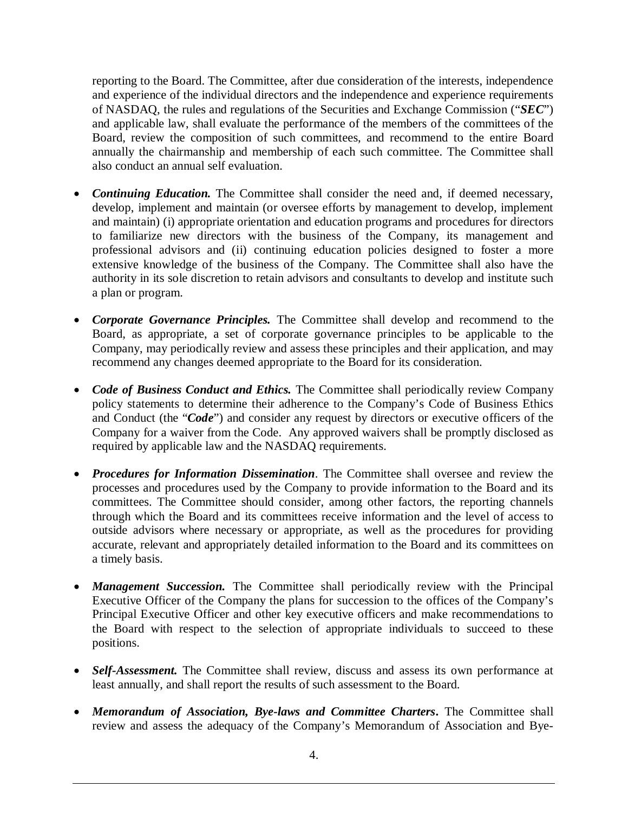reporting to the Board. The Committee, after due consideration of the interests, independence and experience of the individual directors and the independence and experience requirements of NASDAQ, the rules and regulations of the Securities and Exchange Commission ("*SEC*") and applicable law, shall evaluate the performance of the members of the committees of the Board, review the composition of such committees, and recommend to the entire Board annually the chairmanship and membership of each such committee. The Committee shall also conduct an annual self evaluation.

- **Continuing Education.** The Committee shall consider the need and, if deemed necessary, develop, implement and maintain (or oversee efforts by management to develop, implement and maintain) (i) appropriate orientation and education programs and procedures for directors to familiarize new directors with the business of the Company, its management and professional advisors and (ii) continuing education policies designed to foster a more extensive knowledge of the business of the Company. The Committee shall also have the authority in its sole discretion to retain advisors and consultants to develop and institute such a plan or program.
- � *Corporate Governance Principles.* The Committee shall develop and recommend to the Board, as appropriate, a set of corporate governance principles to be applicable to the Company, may periodically review and assess these principles and their application, and may recommend any changes deemed appropriate to the Board for its consideration.
- *Code of Business Conduct and Ethics*. The Committee shall periodically review Company policy statements to determine their adherence to the Company's Code of Business Ethics and Conduct (the "*Code*") and consider any request by directors or executive officers of the Company for a waiver from the Code. Any approved waivers shall be promptly disclosed as required by applicable law and the NASDAQ requirements.
- *Procedures for Information Dissemination*. The Committee shall oversee and review the processes and procedures used by the Company to provide information to the Board and its committees. The Committee should consider, among other factors, the reporting channels through which the Board and its committees receive information and the level of access to outside advisors where necessary or appropriate, as well as the procedures for providing accurate, relevant and appropriately detailed information to the Board and its committees on a timely basis.
- *Management Succession*. The Committee shall periodically review with the Principal Executive Officer of the Company the plans for succession to the offices of the Company's Principal Executive Officer and other key executive officers and make recommendations to the Board with respect to the selection of appropriate individuals to succeed to these positions.
- *Self-Assessment*. The Committee shall review, discuss and assess its own performance at least annually, and shall report the results of such assessment to the Board.
- � *Memorandum of Association, Bye-laws and Committee Charters***.** The Committee shall review and assess the adequacy of the Company's Memorandum of Association and Bye-